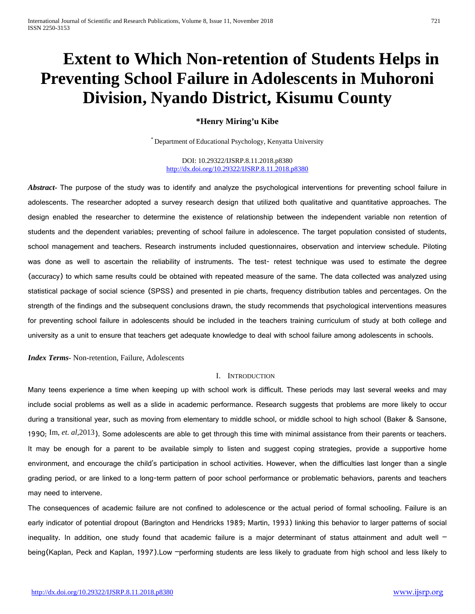# **Extent to Which Non-retention of Students Helps in Preventing School Failure in Adolescents in Muhoroni Division, Nyando District, Kisumu County**

# **\*Henry Miring'u Kibe**

\* Department of Educational Psychology, Kenyatta University

DOI: 10.29322/IJSRP.8.11.2018.p8380 <http://dx.doi.org/10.29322/IJSRP.8.11.2018.p8380>

*Abstract***-** The purpose of the study was to identify and analyze the psychological interventions for preventing school failure in adolescents. The researcher adopted a survey research design that utilized both qualitative and quantitative approaches. The design enabled the researcher to determine the existence of relationship between the independent variable non retention of students and the dependent variables; preventing of school failure in adolescence. The target population consisted of students, school management and teachers. Research instruments included questionnaires, observation and interview schedule. Piloting was done as well to ascertain the reliability of instruments. The test- retest technique was used to estimate the degree (accuracy) to which same results could be obtained with repeated measure of the same. The data collected was analyzed using statistical package of social science (SPSS) and presented in pie charts, frequency distribution tables and percentages. On the strength of the findings and the subsequent conclusions drawn, the study recommends that psychological interventions measures for preventing school failure in adolescents should be included in the teachers training curriculum of study at both college and university as a unit to ensure that teachers get adequate knowledge to deal with school failure among adolescents in schools.

*Index Terms*- Non-retention, Failure, Adolescents

#### I. INTRODUCTION

Many teens experience a time when keeping up with school work is difficult. These periods may last several weeks and may include social problems as well as a slide in academic performance. Research suggests that problems are more likely to occur during a transitional year, such as moving from elementary to middle school, or middle school to high school (Baker & Sansone, 1990; Im, *et. al,*2013). Some adolescents are able to get through this time with minimal assistance from their parents or teachers. It may be enough for a parent to be available simply to listen and suggest coping strategies, provide a supportive home environment, and encourage the child's participation in school activities. However, when the difficulties last longer than a single grading period, or are linked to a long-term pattern of poor school performance or problematic behaviors, parents and teachers may need to intervene.

The consequences of academic failure are not confined to adolescence or the actual period of formal schooling. Failure is an early indicator of potential dropout (Barington and Hendricks 1989; Martin, 1993) linking this behavior to larger patterns of social inequality. In addition, one study found that academic failure is a major determinant of status attainment and adult well being(Kaplan, Peck and Kaplan, 1997).Low –performing students are less likely to graduate from high school and less likely to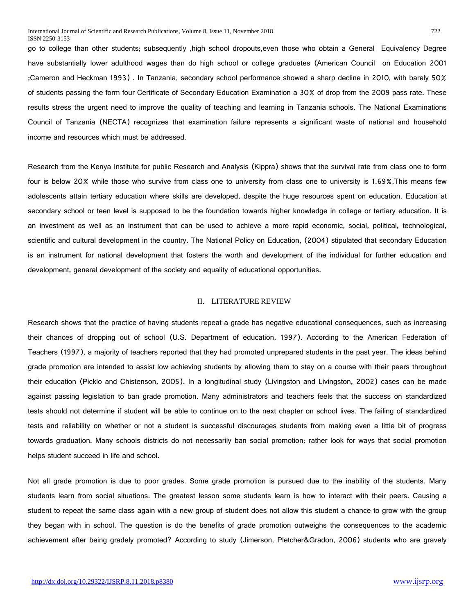go to college than other students; subsequently ,high school dropouts,even those who obtain a General Equivalency Degree have substantially lower adulthood wages than do high school or college graduates (American Council on Education 2001 ;Cameron and Heckman 1993) . In Tanzania, secondary school performance showed a sharp decline in 2010, with barely 50% of students passing the form four Certificate of Secondary Education Examination a 30% of drop from the 2009 pass rate. These results stress the urgent need to improve the quality of teaching and learning in Tanzania schools. The National Examinations Council of Tanzania (NECTA) recognizes that examination failure represents a significant waste of national and household income and resources which must be addressed.

Research from the Kenya Institute for public Research and Analysis (Kippra) shows that the survival rate from class one to form four is below 20% while those who survive from class one to university from class one to university is 1.69%. This means few adolescents attain tertiary education where skills are developed, despite the huge resources spent on education. Education at secondary school or teen level is supposed to be the foundation towards higher knowledge in college or tertiary education. It is an investment as well as an instrument that can be used to achieve a more rapid economic, social, political, technological, scientific and cultural development in the country. The National Policy on Education, (2004) stipulated that secondary Education is an instrument for national development that fosters the worth and development of the individual for further education and development, general development of the society and equality of educational opportunities.

#### II. LITERATURE REVIEW

Research shows that the practice of having students repeat a grade has negative educational consequences, such as increasing their chances of dropping out of school (U.S. Department of education, 1997). According to the American Federation of Teachers (1997), a majority of teachers reported that they had promoted unprepared students in the past year. The ideas behind grade promotion are intended to assist low achieving students by allowing them to stay on a course with their peers throughout their education (Picklo and Chistenson, 2005). In a longitudinal study (Livingston and Livingston, 2002) cases can be made against passing legislation to ban grade promotion. Many administrators and teachers feels that the success on standardized tests should not determine if student will be able to continue on to the next chapter on school lives. The failing of standardized tests and reliability on whether or not a student is successful discourages students from making even a little bit of progress towards graduation. Many schools districts do not necessarily ban social promotion; rather look for ways that social promotion helps student succeed in life and school.

Not all grade promotion is due to poor grades. Some grade promotion is pursued due to the inability of the students. Many students learn from social situations. The greatest lesson some students learn is how to interact with their peers. Causing a student to repeat the same class again with a new group of student does not allow this student a chance to grow with the group they began with in school. The question is do the benefits of grade promotion outweighs the consequences to the academic achievement after being gradely promoted? According to study (Jimerson, Pletcher&Gradon, 2006) students who are gravely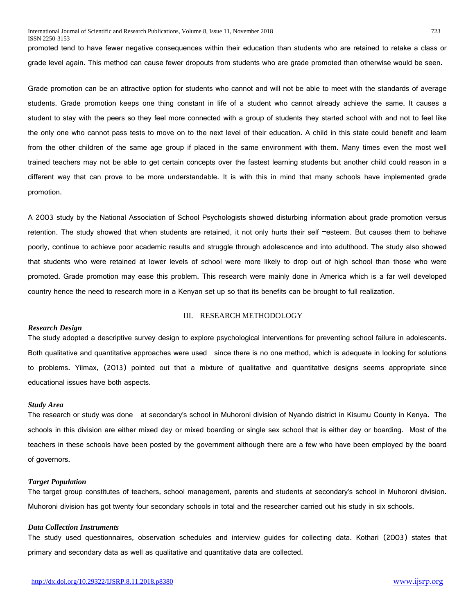promoted tend to have fewer negative consequences within their education than students who are retained to retake a class or grade level again. This method can cause fewer dropouts from students who are grade promoted than otherwise would be seen.

Grade promotion can be an attractive option for students who cannot and will not be able to meet with the standards of average students. Grade promotion keeps one thing constant in life of a student who cannot already achieve the same. It causes a student to stay with the peers so they feel more connected with a group of students they started school with and not to feel like the only one who cannot pass tests to move on to the next level of their education. A child in this state could benefit and learn from the other children of the same age group if placed in the same environment with them. Many times even the most well trained teachers may not be able to get certain concepts over the fastest learning students but another child could reason in a different way that can prove to be more understandable. It is with this in mind that many schools have implemented grade promotion.

A 2003 study by the National Association of School Psychologists showed disturbing information about grade promotion versus retention. The study showed that when students are retained, it not only hurts their self –esteem. But causes them to behave poorly, continue to achieve poor academic results and struggle through adolescence and into adulthood. The study also showed that students who were retained at lower levels of school were more likely to drop out of high school than those who were promoted. Grade promotion may ease this problem. This research were mainly done in America which is a far well developed country hence the need to research more in a Kenyan set up so that its benefits can be brought to full realization.

#### *Research Design*

#### III. RESEARCH METHODOLOGY

The study adopted a descriptive survey design to explore psychological interventions for preventing school failure in adolescents. Both qualitative and quantitative approaches were used since there is no one method, which is adequate in looking for solutions to problems. Yilmax, (2013) pointed out that a mixture of qualitative and quantitative designs seems appropriate since educational issues have both aspects.

#### *Study Area*

The research or study was done at secondary's school in Muhoroni division of Nyando district in Kisumu County in Kenya. The schools in this division are either mixed day or mixed boarding or single sex school that is either day or boarding. Most of the teachers in these schools have been posted by the government although there are a few who have been employed by the board of governors.

#### *Target Population*

The target group constitutes of teachers, school management, parents and students at secondary's school in Muhoroni division. Muhoroni division has got twenty four secondary schools in total and the researcher carried out his study in six schools.

#### *Data Collection Instruments*

The study used questionnaires, observation schedules and interview guides for collecting data. Kothari (2003) states that primary and secondary data as well as qualitative and quantitative data are collected.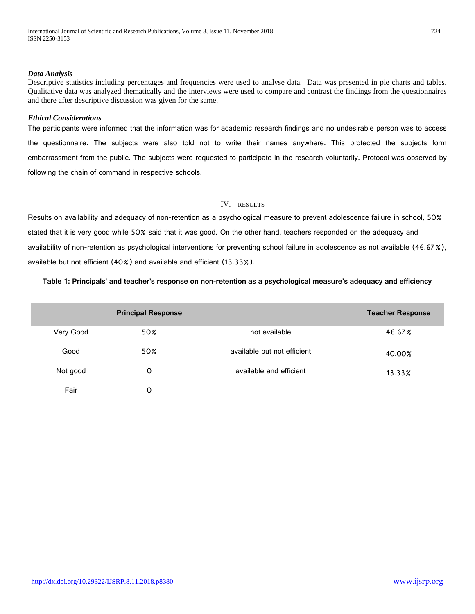#### *Data Analysis*

Descriptive statistics including percentages and frequencies were used to analyse data. Data was presented in pie charts and tables. Qualitative data was analyzed thematically and the interviews were used to compare and contrast the findings from the questionnaires and there after descriptive discussion was given for the same.

#### *Ethical Considerations*

The participants were informed that the information was for academic research findings and no undesirable person was to access the questionnaire. The subjects were also told not to write their names anywhere. This protected the subjects form embarrassment from the public. The subjects were requested to participate in the research voluntarily. Protocol was observed by following the chain of command in respective schools.

# IV. RESULTS

Results on availability and adequacy of non-retention as a psychological measure to prevent adolescence failure in school, 50% stated that it is very good while 50% said that it was good. On the other hand, teachers responded on the adequacy and availability of non-retention as psychological interventions for preventing school failure in adolescence as not available (46.67%), available but not efficient (40%) and available and efficient (13.33%).

## **Table 1: Principals' and teacher's response on non-retention as a psychological measure's adequacy and efficiency**

|           | <b>Principal Response</b> |                             | <b>Teacher Response</b> |
|-----------|---------------------------|-----------------------------|-------------------------|
| Very Good | 50%                       | not available               | 46.67%                  |
| Good      | 50%                       | available but not efficient | 40.00%                  |
| Not good  | 0                         | available and efficient     | $13.33\%$               |
| Fair      | 0                         |                             |                         |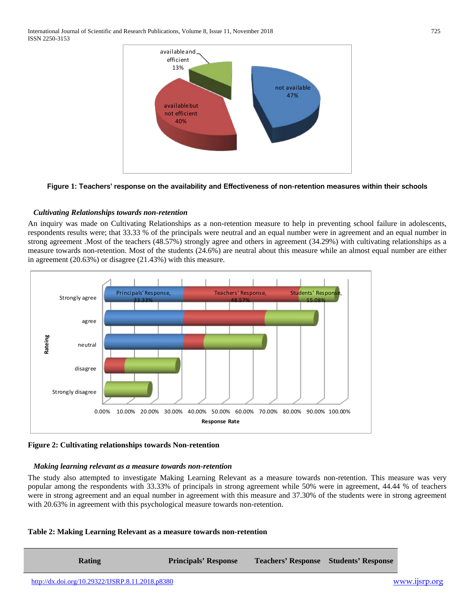

## **Figure 1: Teachers' response on the availability and Effectiveness of non-retention measures within their schools**

# *Cultivating Relationships towards non-retention*

An inquiry was made on Cultivating Relationships as a non-retention measure to help in preventing school failure in adolescents, respondents results were; that 33.33 % of the principals were neutral and an equal number were in agreement and an equal number in strong agreement .Most of the teachers (48.57%) strongly agree and others in agreement (34.29%) with cultivating relationships as a measure towards non-retention. Most of the students (24.6%) are neutral about this measure while an almost equal number are either in agreement (20.63%) or disagree (21.43%) with this measure.



**Figure 2: Cultivating relationships towards Non-retention**

## *Making learning relevant as a measure towards non-retention*

The study also attempted to investigate Making Learning Relevant as a measure towards non-retention. This measure was very popular among the respondents with 33.33% of principals in strong agreement while 50% were in agreement, 44.44 % of teachers were in strong agreement and an equal number in agreement with this measure and 37.30% of the students were in strong agreement with 20.63% in agreement with this psychological measure towards non-retention.

## **Table 2: Making Learning Relevant as a measure towards non-retention**

**Rating Principals' Response Teachers' Response Students' Response**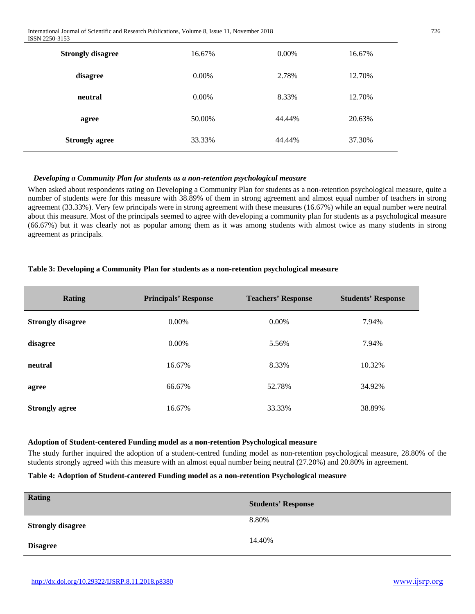| <b>Strongly disagree</b> | 16.67%   | $0.00\%$ | 16.67% |
|--------------------------|----------|----------|--------|
| disagree                 | $0.00\%$ | 2.78%    | 12.70% |
| neutral                  | $0.00\%$ | 8.33%    | 12.70% |
| agree                    | 50.00%   | 44.44%   | 20.63% |
| <b>Strongly agree</b>    | 33.33%   | 44.44%   | 37.30% |

# *Developing a Community Plan for students as a non-retention psychological measure*

When asked about respondents rating on Developing a Community Plan for students as a non-retention psychological measure, quite a number of students were for this measure with 38.89% of them in strong agreement and almost equal number of teachers in strong agreement (33.33%). Very few principals were in strong agreement with these measures (16.67%) while an equal number were neutral about this measure. Most of the principals seemed to agree with developing a community plan for students as a psychological measure (66.67%) but it was clearly not as popular among them as it was among students with almost twice as many students in strong agreement as principals.

# **Table 3: Developing a Community Plan for students as a non-retention psychological measure**

| <b>Rating</b>            | <b>Principals' Response</b> | <b>Teachers' Response</b> | <b>Students' Response</b> |
|--------------------------|-----------------------------|---------------------------|---------------------------|
| <b>Strongly disagree</b> | $0.00\%$                    | $0.00\%$                  | 7.94%                     |
| disagree                 | $0.00\%$                    | 5.56%                     | 7.94%                     |
| neutral                  | 16.67%                      | 8.33%                     | 10.32%                    |
| agree                    | 66.67%                      | 52.78%                    | 34.92%                    |
| <b>Strongly agree</b>    | 16.67%                      | 33.33%                    | 38.89%                    |

## **Adoption of Student-centered Funding model as a non-retention Psychological measure**

The study further inquired the adoption of a student-centred funding model as non-retention psychological measure, 28.80% of the students strongly agreed with this measure with an almost equal number being neutral (27.20%) and 20.80% in agreement.

## **Table 4: Adoption of Student-cantered Funding model as a non-retention Psychological measure**

| <b>Rating</b>            | <b>Students' Response</b> |
|--------------------------|---------------------------|
| <b>Strongly disagree</b> | 8.80%                     |
| <b>Disagree</b>          | 14.40%                    |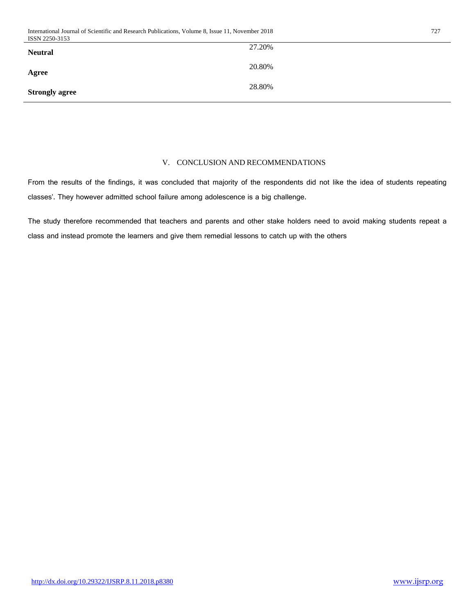| International Journal of Scientific and Research Publications, Volume 8, Issue 11,<br>2018<br>11. November | 727 |
|------------------------------------------------------------------------------------------------------------|-----|
| ISSN 2250-3153                                                                                             |     |

| 27.20% |
|--------|
| 20.80% |
| 28.80% |
|        |

# V. CONCLUSION AND RECOMMENDATIONS

From the results of the findings, it was concluded that majority of the respondents did not like the idea of students repeating classes'. They however admitted school failure among adolescence is a big challenge.

The study therefore recommended that teachers and parents and other stake holders need to avoid making students repeat a class and instead promote the learners and give them remedial lessons to catch up with the others